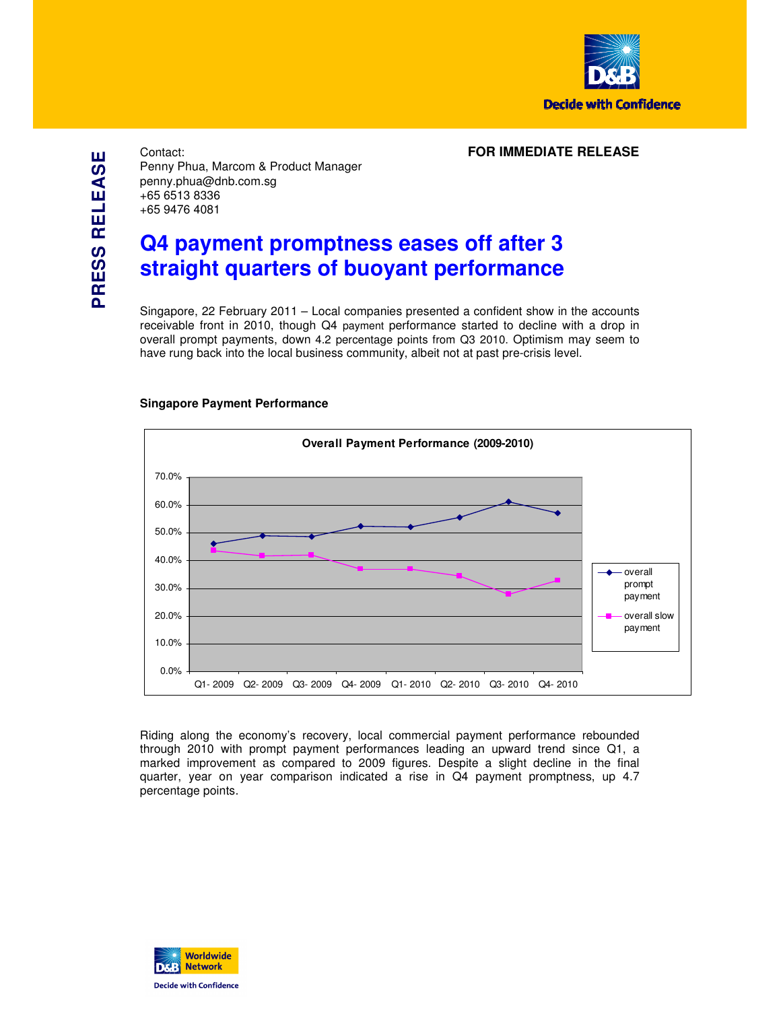

**PRESS RELEASE PRESS RELEASE** Contact: **FOR IMMEDIATE RELEASE** Penny Phua, Marcom & Product Manager penny.phua@dnb.com.sg +65 6513 8336 +65 9476 4081

# **Q4 payment promptness eases off after 3 straight quarters of buoyant performance**

Singapore, 22 February 2011 – Local companies presented a confident show in the accounts receivable front in 2010, though Q4 payment performance started to decline with a drop in overall prompt payments, down 4.2 percentage points from Q3 2010. Optimism may seem to have rung back into the local business community, albeit not at past pre-crisis level.



# **Singapore Payment Performance**

Riding along the economy's recovery, local commercial payment performance rebounded through 2010 with prompt payment performances leading an upward trend since Q1, a marked improvement as compared to 2009 figures. Despite a slight decline in the final quarter, year on year comparison indicated a rise in Q4 payment promptness, up 4.7 percentage points.

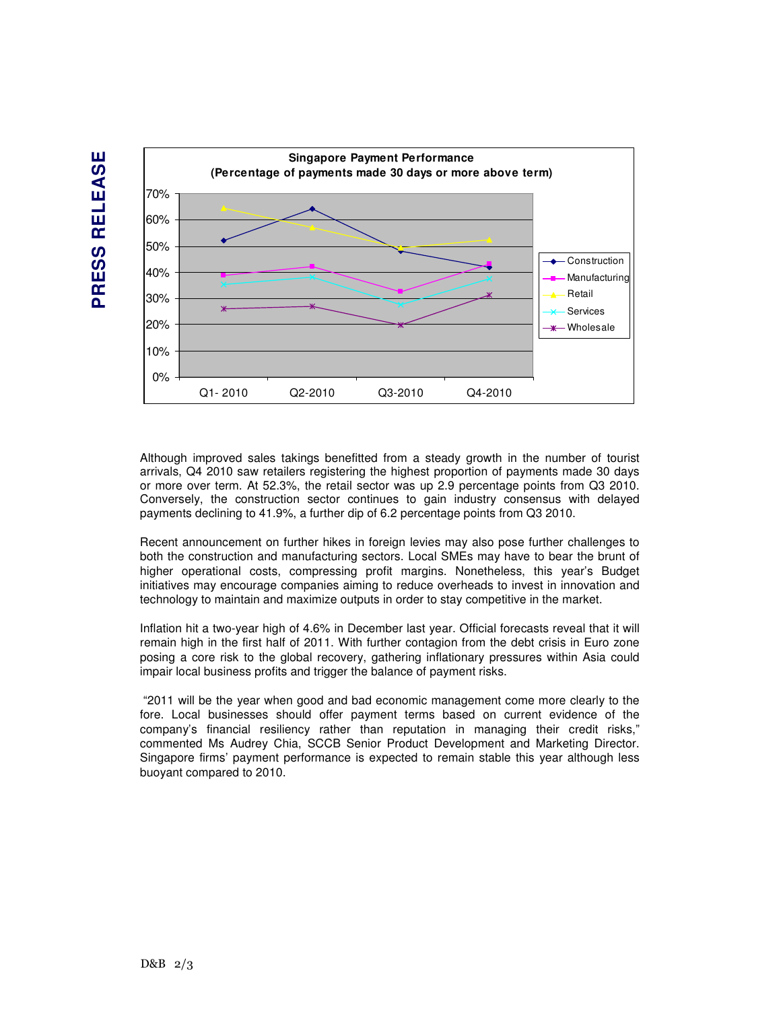



Although improved sales takings benefitted from a steady growth in the number of tourist arrivals, Q4 2010 saw retailers registering the highest proportion of payments made 30 days or more over term. At 52.3%, the retail sector was up 2.9 percentage points from Q3 2010. Conversely, the construction sector continues to gain industry consensus with delayed payments declining to 41.9%, a further dip of 6.2 percentage points from Q3 2010.

Recent announcement on further hikes in foreign levies may also pose further challenges to both the construction and manufacturing sectors. Local SMEs may have to bear the brunt of higher operational costs, compressing profit margins. Nonetheless, this year's Budget initiatives may encourage companies aiming to reduce overheads to invest in innovation and technology to maintain and maximize outputs in order to stay competitive in the market.

Inflation hit a two-year high of 4.6% in December last year. Official forecasts reveal that it will remain high in the first half of 2011. With further contagion from the debt crisis in Euro zone posing a core risk to the global recovery, gathering inflationary pressures within Asia could impair local business profits and trigger the balance of payment risks.

 "2011 will be the year when good and bad economic management come more clearly to the fore. Local businesses should offer payment terms based on current evidence of the company's financial resiliency rather than reputation in managing their credit risks," commented Ms Audrey Chia, SCCB Senior Product Development and Marketing Director. Singapore firms' payment performance is expected to remain stable this year although less buoyant compared to 2010.